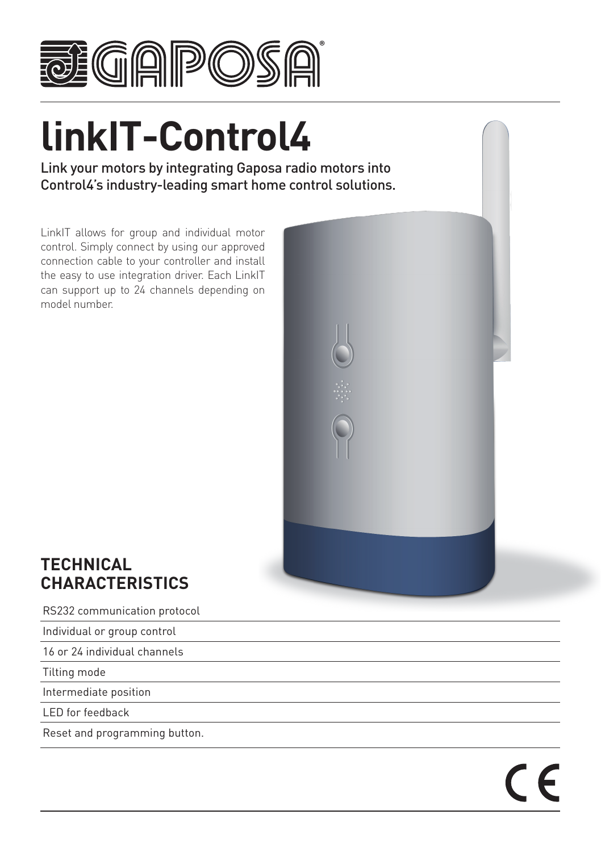

# **linkIT-Control4**

Link your motors by integrating Gaposa radio motors into Control4's industry-leading smart home control solutions.

LinkIT allows for group and individual motor control. Simply connect by using our approved connection cable to your controller and install the easy to use integration driver. Each LinkIT can support up to 24 channels depending on model number.



 $\overline{\phantom{a}}$ 

## **TECHNICAL CHARACTERISTICS**

RS232 communication protocol

Individual or group control

16 or 24 individual channels

Tilting mode

Intermediate position

LED for feedback

Reset and programming button.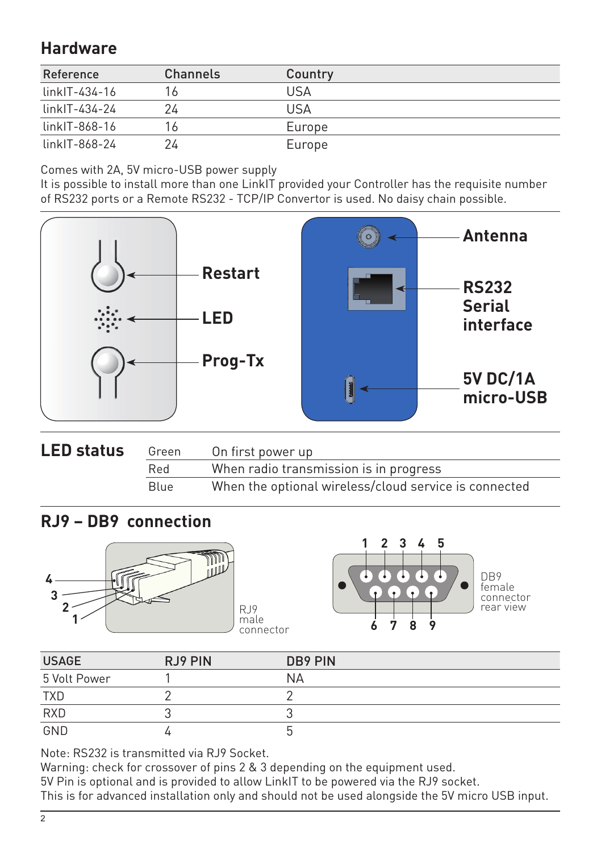## **Hardware**

| Reference       | Channels | Country |
|-----------------|----------|---------|
| linkIT-434-16   |          | USA     |
| linkIT-434-24   | 24       | USA     |
| $linkIT-868-16$ | 16.      | Europe  |
| linkIT-868-24   | 24       | Europe  |

Comes with 2A, 5V micro-USB power supply

It is possible to install more than one LinkIT provided your Controller has the requisite number of RS232 ports or a Remote RS232 - TCP/IP Convertor is used. No daisy chain possible.



| <b>LED status</b> | Green | On first power up                                     |  |  |
|-------------------|-------|-------------------------------------------------------|--|--|
|                   | Red   | When radio transmission is in progress                |  |  |
|                   | Blue  | When the optional wireless/cloud service is connected |  |  |

### **RJ9 – DB9 connection**





female connector rear view

| <b>USAGE</b> | RJ9 PIN | DB9 PIN |
|--------------|---------|---------|
| 5 Volt Power |         | ΝA      |
| <b>TXD</b>   |         |         |
| <b>RXD</b>   |         |         |
| GND          |         |         |

Note: RS232 is transmitted via RJ9 Socket.

Warning: check for crossover of pins 2 & 3 depending on the equipment used.

5V Pin is optional and is provided to allow LinkIT to be powered via the RJ9 socket.

This is for advanced installation only and should not be used alongside the 5V micro USB input.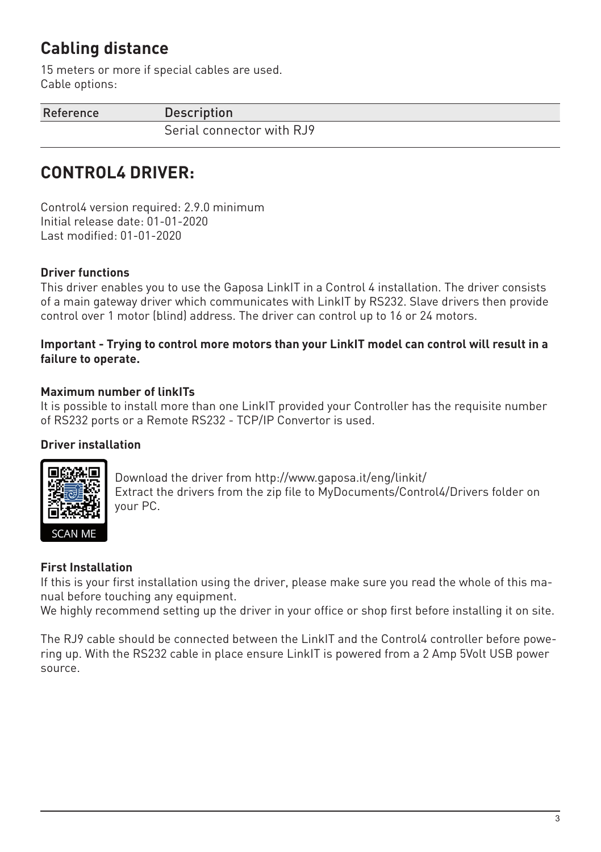## **Cabling distance**

15 meters or more if special cables are used. Cable options:

Reference Description

Serial connector with RJ9

# **CONTROL4 DRIVER:**

Control4 version required: 2.9.0 minimum Initial release date: 01-01-2020 Last modified: 01-01-2020

#### **Driver functions**

This driver enables you to use the Gaposa LinkIT in a Control 4 installation. The driver consists of a main gateway driver which communicates with LinkIT by RS232. Slave drivers then provide control over 1 motor (blind) address. The driver can control up to 16 or 24 motors.

#### **Important - Trying to control more motors than your LinkIT model can control will result in a failure to operate.**

#### **Maximum number of linkITs**

It is possible to install more than one LinkIT provided your Controller has the requisite number of RS232 ports or a Remote RS232 - TCP/IP Convertor is used.

#### **Driver installation**



Download the driver from http://www.gaposa.it/eng/linkit/ Extract the drivers from the zip file to MyDocuments/Control4/Drivers folder on your PC.

#### **First Installation**

If this is your first installation using the driver, please make sure you read the whole of this manual before touching any equipment.

We highly recommend setting up the driver in your office or shop first before installing it on site.

The RJ9 cable should be connected between the LinkIT and the Control4 controller before powering up. With the RS232 cable in place ensure LinkIT is powered from a 2 Amp 5Volt USB power source.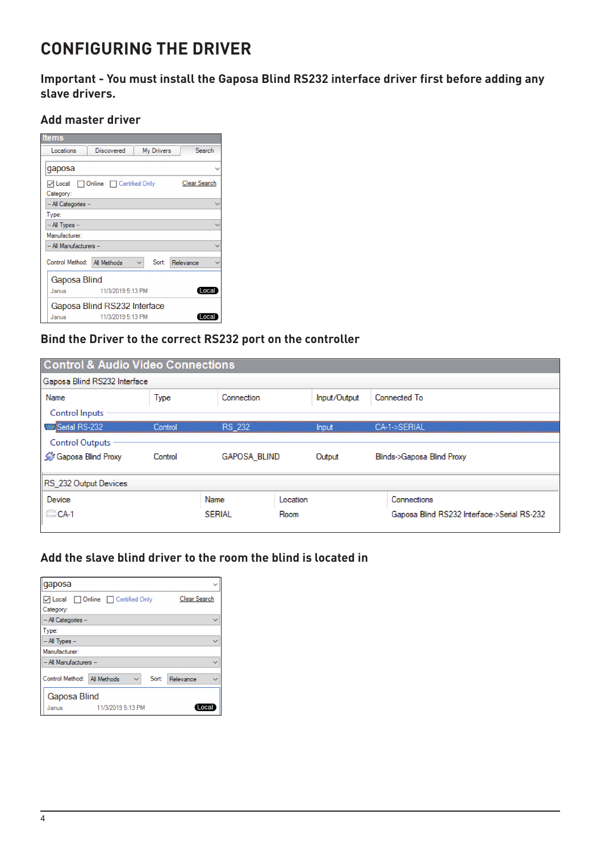## **CONFIGURING THE DRIVER**

**Important - You must install the Gaposa Blind RS232 interface driver first before adding any slave drivers.**

#### **Add master driver**

| <b>Items</b>                |                                        |  |       |                     |       |
|-----------------------------|----------------------------------------|--|-------|---------------------|-------|
| Locations                   | <b>My Drivers</b><br><b>Discovered</b> |  |       | Search              |       |
| qaposa                      |                                        |  |       |                     |       |
| Category:                   | ○ Local Online Certified Only          |  |       | <b>Clear Search</b> |       |
| -- All Categories --        |                                        |  |       |                     |       |
| Type:                       |                                        |  |       |                     |       |
| $-$ All Types $-$           |                                        |  |       |                     |       |
| Manufacturer:               |                                        |  |       |                     |       |
| -- All Manufacturers --     |                                        |  |       |                     |       |
| Control Method: All Methods |                                        |  | Sort: | Relevance           |       |
| <b>Gaposa Blind</b>         |                                        |  |       |                     |       |
| Janus                       | 11/3/2019 5:13 PM                      |  |       |                     | Local |
|                             | Gaposa Blind RS232 Interface           |  |       |                     |       |
| Janus                       | 11/3/2019 5:13 PM                      |  |       |                     | .oca  |

#### **Bind the Driver to the correct RS232 port on the controller**

| <b>Control &amp; Audio Video Connections</b> |         |                     |          |              |  |                                             |  |
|----------------------------------------------|---------|---------------------|----------|--------------|--|---------------------------------------------|--|
| Gaposa Blind RS232 Interface                 |         |                     |          |              |  |                                             |  |
| Name                                         | Type    | Connection          |          | Input/Output |  | Connected To                                |  |
| <b>Control Inputs</b>                        |         |                     |          |              |  |                                             |  |
| <b>WEISerial RS-232</b>                      | Control | RS 232              |          | <b>Input</b> |  | CA-1->SERIAL                                |  |
| <b>Control Outputs</b>                       |         |                     |          |              |  |                                             |  |
| Gaposa Blind Proxy                           | Control | <b>GAPOSA BLIND</b> |          | Output       |  | Blinds->Gaposa Blind Proxy                  |  |
| RS 232 Output Devices                        |         |                     |          |              |  |                                             |  |
| Device                                       |         | Name                | Location |              |  | Connections                                 |  |
| CA-1                                         |         | <b>SERIAL</b>       | Room     |              |  | Gaposa Blind RS232 Interface->Serial RS-232 |  |

#### **Add the slave blind driver to the room the blind is located in**

| gaposa                                                   |                   |                     |      |           |              |
|----------------------------------------------------------|-------------------|---------------------|------|-----------|--------------|
| □ Online □ Certified Only<br><b>▽ Local</b><br>Category: |                   | <b>Clear Search</b> |      |           |              |
| -- All Categories --                                     |                   |                     |      |           | $\checkmark$ |
| Type:                                                    |                   |                     |      |           |              |
| $-$ All Types $-$                                        |                   |                     |      |           | $\checkmark$ |
| Manufacturer:                                            |                   |                     |      |           |              |
| -- All Manufacturers --                                  |                   |                     |      |           | $\checkmark$ |
| Control Method: All Methods                              |                   | $\checkmark$        | Sort | Relevance |              |
| <b>Gaposa Blind</b>                                      |                   |                     |      |           |              |
| Janus                                                    | 11/3/2019 5:13 PM |                     |      |           | I ocal       |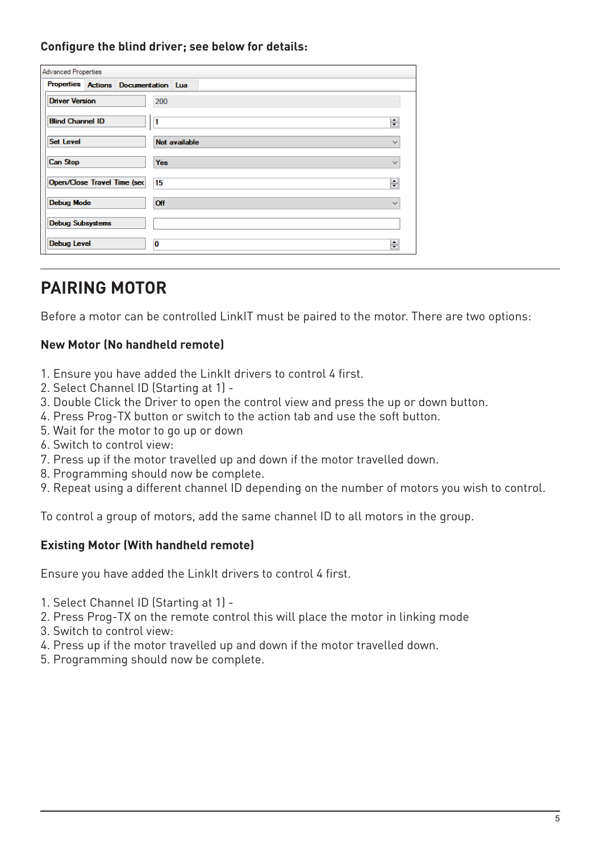#### **Configure the blind driver; see below for details:**

| <b>Advanced Properties</b>         |                                      |               |  |
|------------------------------------|--------------------------------------|---------------|--|
|                                    | Properties Actions Documentation Lua |               |  |
| <b>Driver Version</b>              | 200                                  |               |  |
| <b>Blind Channel ID</b>            | 1<br>ş                               |               |  |
| <b>Set Level</b>                   |                                      | Not available |  |
| <b>Can Stop</b>                    | <b>Yes</b>                           |               |  |
| <b>Open/Close Travel Time (sec</b> | 15                                   |               |  |
| <b>Debug Mode</b>                  | Off                                  |               |  |
| <b>Debug Subsystems</b>            |                                      |               |  |
| <b>Debug Level</b>                 | O                                    |               |  |

## **PAIRING MOTOR**

Before a motor can be controlled LinkIT must be paired to the motor. There are two options:

#### **New Motor (No handheld remote)**

- 1. Ensure you have added the LinkIt drivers to control 4 first.
- 2. Select Channel ID (Starting at 1) -
- 3. Double Click the Driver to open the control view and press the up or down button.
- 4. Press Prog-TX button or switch to the action tab and use the soft button.
- 5. Wait for the motor to go up or down
- 6. Switch to control view:
- 7. Press up if the motor travelled up and down if the motor travelled down.
- 8. Programming should now be complete.
- 9. Repeat using a different channel ID depending on the number of motors you wish to control.

To control a group of motors, add the same channel ID to all motors in the group.

#### **Existing Motor (With handheld remote)**

Ensure you have added the LinkIt drivers to control 4 first.

- 1. Select Channel ID (Starting at 1) -
- 2. Press Prog-TX on the remote control this will place the motor in linking mode
- 3. Switch to control view:
- 4. Press up if the motor travelled up and down if the motor travelled down.
- 5. Programming should now be complete.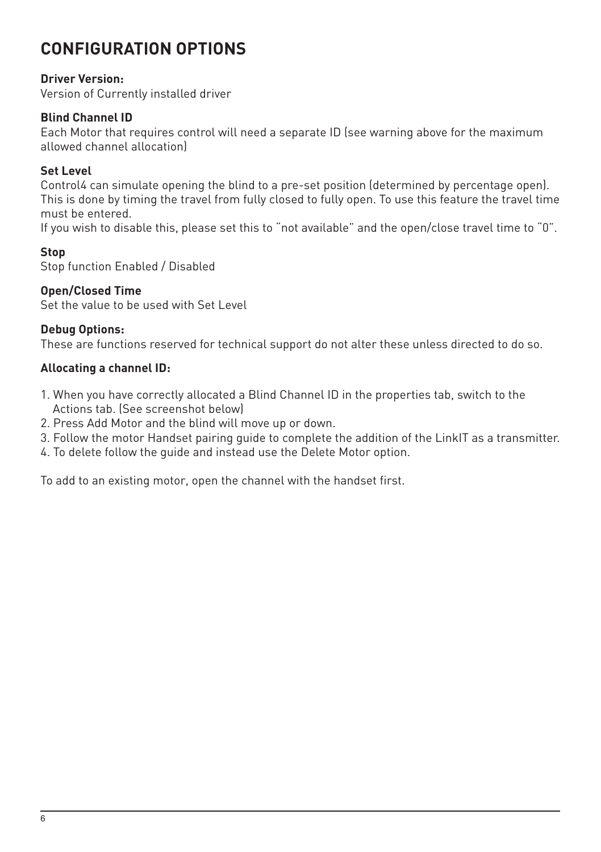## **CONFIGURATION OPTIONS**

#### **Driver Version:**

Version of Currently installed driver

#### **Blind Channel ID**

Each Motor that requires control will need a separate ID (see warning above for the maximum allowed channel allocation)

#### **Set Level**

Control4 can simulate opening the blind to a pre-set position (determined by percentage open). This is done by timing the travel from fully closed to fully open. To use this feature the travel time must be entered.

If you wish to disable this, please set this to "not available" and the open/close travel time to "0".

#### **Stop**

Stop function Enabled / Disabled

#### **Open/Closed Time**

Set the value to be used with Set Level

#### **Debug Options:**

These are functions reserved for technical support do not alter these unless directed to do so.

#### **Allocating a channel ID:**

- 1. When you have correctly allocated a Blind Channel ID in the properties tab, switch to the Actions tab. (See screenshot below)
- 2. Press Add Motor and the blind will move up or down.
- 3. Follow the motor Handset pairing guide to complete the addition of the LinkIT as a transmitter.
- 4. To delete follow the guide and instead use the Delete Motor option.

To add to an existing motor, open the channel with the handset first.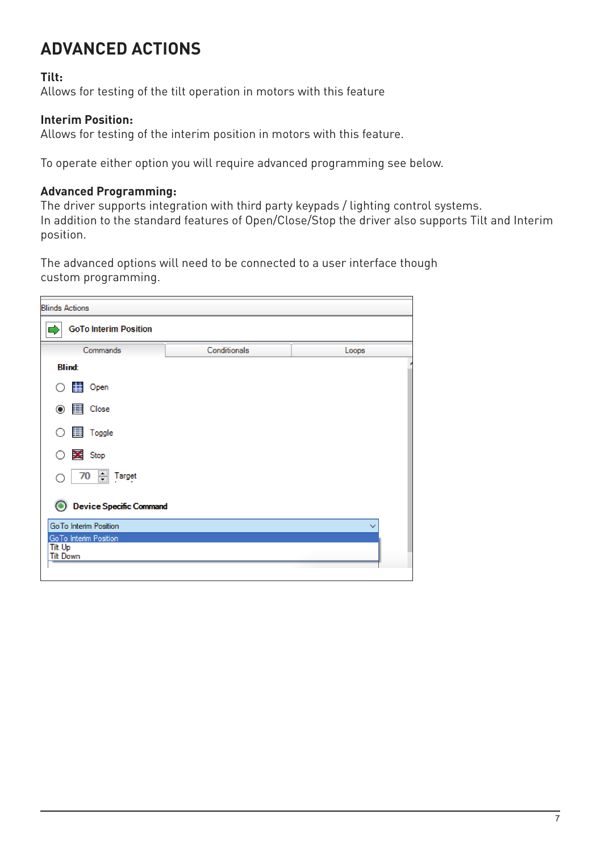# **ADVANCED ACTIONS**

#### **Tilt:**

Allows for testing of the tilt operation in motors with this feature

#### **Interim Position:**

Allows for testing of the interim position in motors with this feature.

To operate either option you will require advanced programming see below.

#### **Advanced Programming:**

The driver supports integration with third party keypads / lighting control systems. In addition to the standard features of Open/Close/Stop the driver also supports Tilt and Interim position.

The advanced options will need to be connected to a user interface though custom programming.

| <b>Blinds Actions</b>                     |              |              |
|-------------------------------------------|--------------|--------------|
| <b>GoTo Interim Position</b>              |              |              |
| Commands                                  | Conditionals | Loops        |
| <b>Blind:</b>                             |              |              |
| <b>D</b> Open<br>∩                        |              |              |
| $\circledcirc$ $\qquad \qquad \Box$ Close |              |              |
| 图 Toggle<br>∩                             |              |              |
| Stop<br>∩                                 |              |              |
| 70 Target                                 |              |              |
| <b>Device Specific Command</b>            |              |              |
| GoTo Interim Position                     |              | $\checkmark$ |
| GoTo Interim Position<br>Tilt Up          |              |              |
| <b>Tilt Down</b>                          |              |              |
|                                           |              |              |